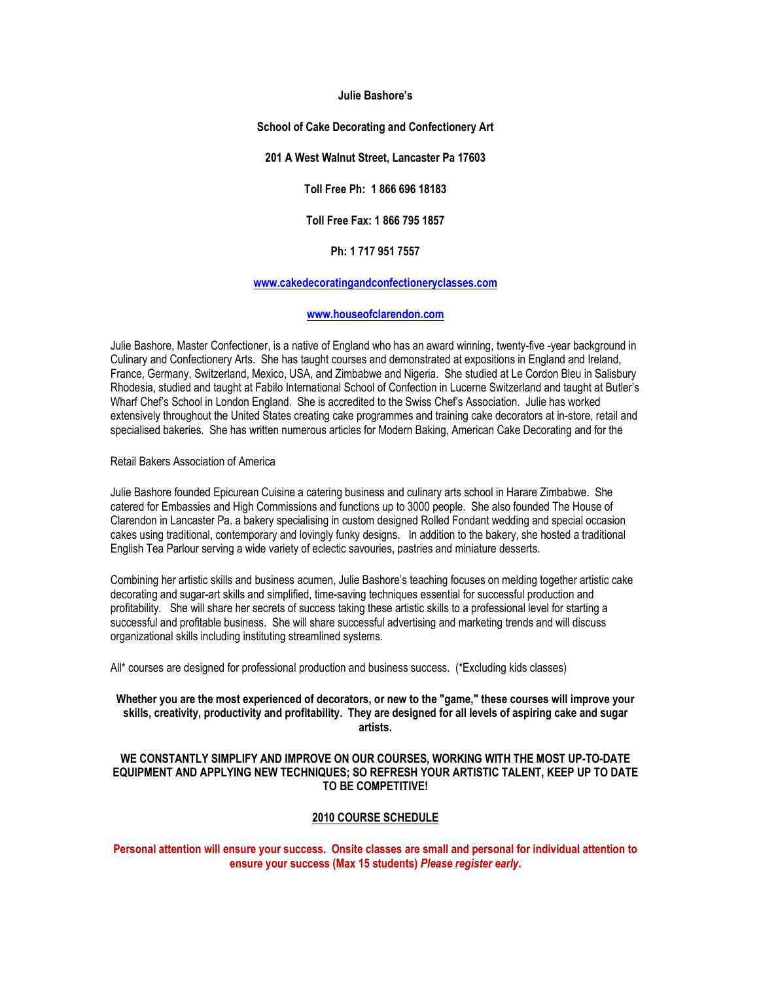#### **Julie Bashore's**

#### **School of Cake Decorating and Confectionery Art**

#### **201 A West Walnut Street, Lancaster Pa 17603**

**Toll Free Ph: 1 866 696 18183**

**Toll Free Fax: 1 866 795 1857**

## **Ph: 1 717 951 7557**

## **www.cakedecoratingandconfectioneryclasses.com**

# **www.houseofclarendon.com**

Julie Bashore, Master Confectioner, is a native of England who has an award winning, twenty-five -year background in Culinary and Confectionery Arts. She has taught courses and demonstrated at expositions in England and Ireland, France, Germany, Switzerland, Mexico, USA, and Zimbabwe and Nigeria. She studied at Le Cordon Bleu in Salisbury Rhodesia, studied and taught at Fabilo International School of Confection in Lucerne Switzerland and taught at Butler's Wharf Chef's School in London England. She is accredited to the Swiss Chef's Association. Julie has worked extensively throughout the United States creating cake programmes and training cake decorators at in-store, retail and specialised bakeries. She has written numerous articles for Modern Baking, American Cake Decorating and for the

#### Retail Bakers Association of America

Julie Bashore founded Epicurean Cuisine a catering business and culinary arts school in Harare Zimbabwe. She catered for Embassies and High Commissions and functions up to 3000 people. She also founded The House of Clarendon in Lancaster Pa. a bakery specialising in custom designed Rolled Fondant wedding and special occasion cakes using traditional, contemporary and lovingly funky designs. In addition to the bakery, she hosted a traditional English Tea Parlour serving a wide variety of eclectic savouries, pastries and miniature desserts.

Combining her artistic skills and business acumen, Julie Bashore's teaching focuses on melding together artistic cake decorating and sugar-art skills and simplified, time-saving techniques essential for successful production and profitability. She will share her secrets of success taking these artistic skills to a professional level for starting a successful and profitable business. She will share successful advertising and marketing trends and will discuss organizational skills including instituting streamlined systems.

All\* courses are designed for professional production and business success. (\*Excluding kids classes)

# **Whether you are the most experienced of decorators, or new to the "game," these courses will improve your skills, creativity, productivity and profitability. They are designed for all levels of aspiring cake and sugar artists.**

# **WE CONSTANTLY SIMPLIFY AND IMPROVE ON OUR COURSES, WORKING WITH THE MOST UP-TO-DATE EQUIPMENT AND APPLYING NEW TECHNIQUES; SO REFRESH YOUR ARTISTIC TALENT, KEEP UP TO DATE TO BE COMPETITIVE!**

#### **2010 COURSE SCHEDULE**

**Personal attention will ensure your success. Onsite classes are small and personal for individual attention to ensure your success (Max 15 students)** *Please register early***.**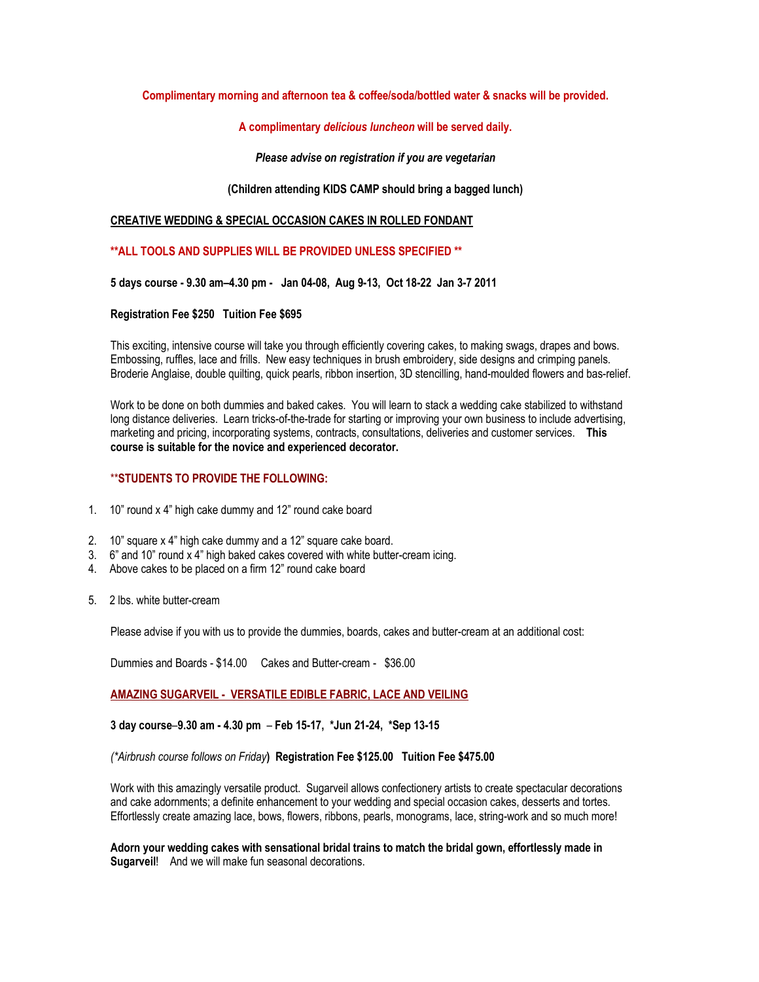# **Complimentary morning and afternoon tea & coffee/soda/bottled water & snacks will be provided.**

## **A complimentary** *delicious luncheon* **will be served daily.**

## *Please advise on registration if you are vegetarian*

# **(Children attending KIDS CAMP should bring a bagged lunch)**

## **CREATIVE WEDDING & SPECIAL OCCASION CAKES IN ROLLED FONDANT**

# **\*\*ALL TOOLS AND SUPPLIES WILL BE PROVIDED UNLESS SPECIFIED \*\***

**5 days course - 9.30 am–4.30 pm - Jan 04-08, Aug 9-13, Oct 18-22 Jan 3-7 2011**

#### **Registration Fee \$250 Tuition Fee \$695**

This exciting, intensive course will take you through efficiently covering cakes, to making swags, drapes and bows. Embossing, ruffles, lace and frills. New easy techniques in brush embroidery, side designs and crimping panels. Broderie Anglaise, double quilting, quick pearls, ribbon insertion, 3D stencilling, hand-moulded flowers and bas-relief.

Work to be done on both dummies and baked cakes. You will learn to stack a wedding cake stabilized to withstand long distance deliveries. Learn tricks-of-the-trade for starting or improving your own business to include advertising, marketing and pricing, incorporating systems, contracts, consultations, deliveries and customer services. **This course is suitable for the novice and experienced decorator.**

# \*\***STUDENTS TO PROVIDE THE FOLLOWING:**

- 1. 10" round x 4" high cake dummy and 12" round cake board
- 2. 10" square x 4" high cake dummy and a 12" square cake board.
- 3. 6" and 10" round x 4" high baked cakes covered with white butter-cream icing.
- 4. Above cakes to be placed on a firm 12" round cake board
- 5. 2 lbs. white butter-cream

Please advise if you with us to provide the dummies, boards, cakes and butter-cream at an additional cost:

Dummies and Boards - \$14.00 Cakes and Butter-cream - \$36.00

# **AMAZING SUGARVEIL - VERSATILE EDIBLE FABRIC, LACE AND VEILING**

# **3 day course**–**9.30 am - 4.30 pm** – **Feb 15-17, \*Jun 21-24, \*Sep 13-15**

#### *(\*Airbrush course follows on Friday***) Registration Fee \$125.00 Tuition Fee \$475.00**

Work with this amazingly versatile product. Sugarveil allows confectionery artists to create spectacular decorations and cake adornments; a definite enhancement to your wedding and special occasion cakes, desserts and tortes. Effortlessly create amazing lace, bows, flowers, ribbons, pearls, monograms, lace, string-work and so much more!

**Adorn your wedding cakes with sensational bridal trains to match the bridal gown, effortlessly made in Sugarveil!** And we will make fun seasonal decorations.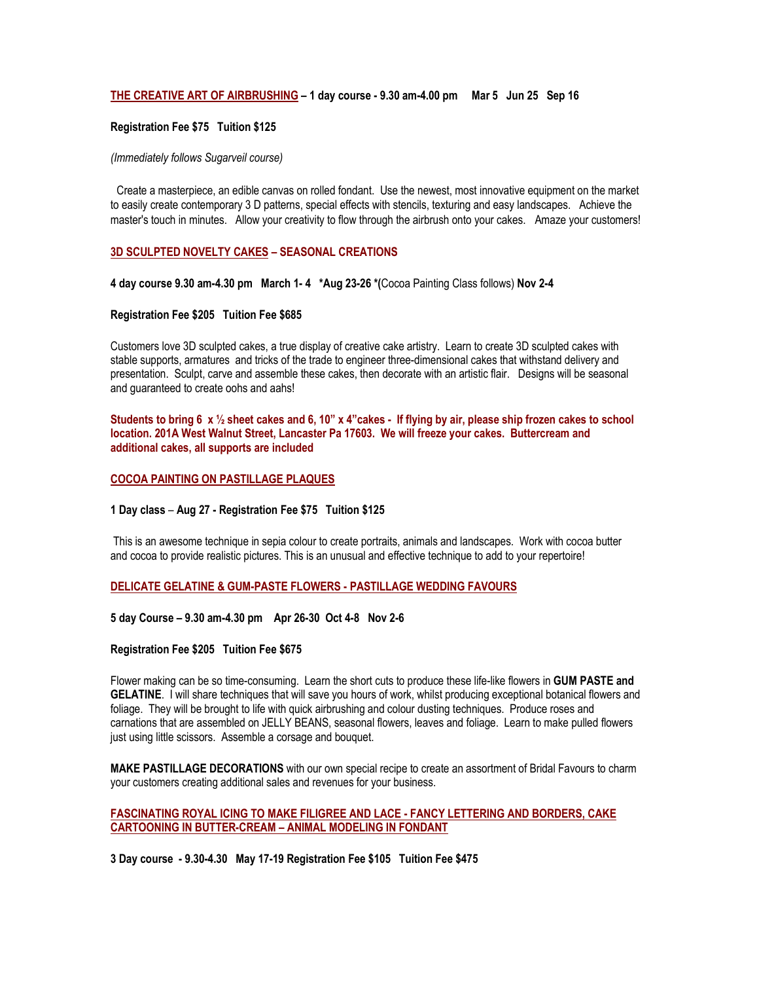## **THE CREATIVE ART OF AIRBRUSHING – 1 day course - 9.30 am-4.00 pm Mar 5 Jun 25 Sep 16**

#### **Registration Fee \$75 Tuition \$125**

#### *(Immediately follows Sugarveil course)*

Create a masterpiece, an edible canvas on rolled fondant. Use the newest, most innovative equipment on the market to easily create contemporary 3 D patterns, special effects with stencils, texturing and easy landscapes. Achieve the master's touch in minutes. Allow your creativity to flow through the airbrush onto your cakes. Amaze your customers!

## **3D SCULPTED NOVELTY CAKES – SEASONAL CREATIONS**

**4 day course 9.30 am-4.30 pm March 1- 4 \*Aug 23-26 \*(**Cocoa Painting Class follows) **Nov 2-4**

### **Registration Fee \$205 Tuition Fee \$685**

Customers love 3D sculpted cakes, a true display of creative cake artistry. Learn to create 3D sculpted cakes with stable supports, armatures and tricks of the trade to engineer three-dimensional cakes that withstand delivery and presentation. Sculpt, carve and assemble these cakes, then decorate with an artistic flair. Designs will be seasonal and guaranteed to create oohs and aahs!

**Students to bring 6 x ½ sheet cakes and 6, 10" x 4"cakes - If flying by air, please ship frozen cakes to school location. 201A West Walnut Street, Lancaster Pa 17603. We will freeze your cakes. Buttercream and additional cakes, all supports are included**

#### **COCOA PAINTING ON PASTILLAGE PLAQUES**

#### **1 Day class** – **Aug 27 - Registration Fee \$75 Tuition \$125**

This is an awesome technique in sepia colour to create portraits, animals and landscapes. Work with cocoa butter and cocoa to provide realistic pictures. This is an unusual and effective technique to add to your repertoire!

## **DELICATE GELATINE & GUM-PASTE FLOWERS - PASTILLAGE WEDDING FAVOURS**

#### **5 day Course – 9.30 am-4.30 pm Apr 26-30 Oct 4-8 Nov 2-6**

#### **Registration Fee \$205 Tuition Fee \$675**

Flower making can be so time-consuming. Learn the short cuts to produce these life-like flowers in **GUM PASTE and GELATINE**. I will share techniques that will save you hours of work, whilst producing exceptional botanical flowers and foliage. They will be brought to life with quick airbrushing and colour dusting techniques. Produce roses and carnations that are assembled on JELLY BEANS, seasonal flowers, leaves and foliage. Learn to make pulled flowers just using little scissors. Assemble a corsage and bouquet.

**MAKE PASTILLAGE DECORATIONS** with our own special recipe to create an assortment of Bridal Favours to charm your customers creating additional sales and revenues for your business.

## **FASCINATING ROYAL ICING TO MAKE FILIGREE AND LACE - FANCY LETTERING AND BORDERS, CAKE CARTOONING IN BUTTER-CREAM – ANIMAL MODELING IN FONDANT**

**3 Day course - 9.30-4.30 May 17-19 Registration Fee \$105 Tuition Fee \$475**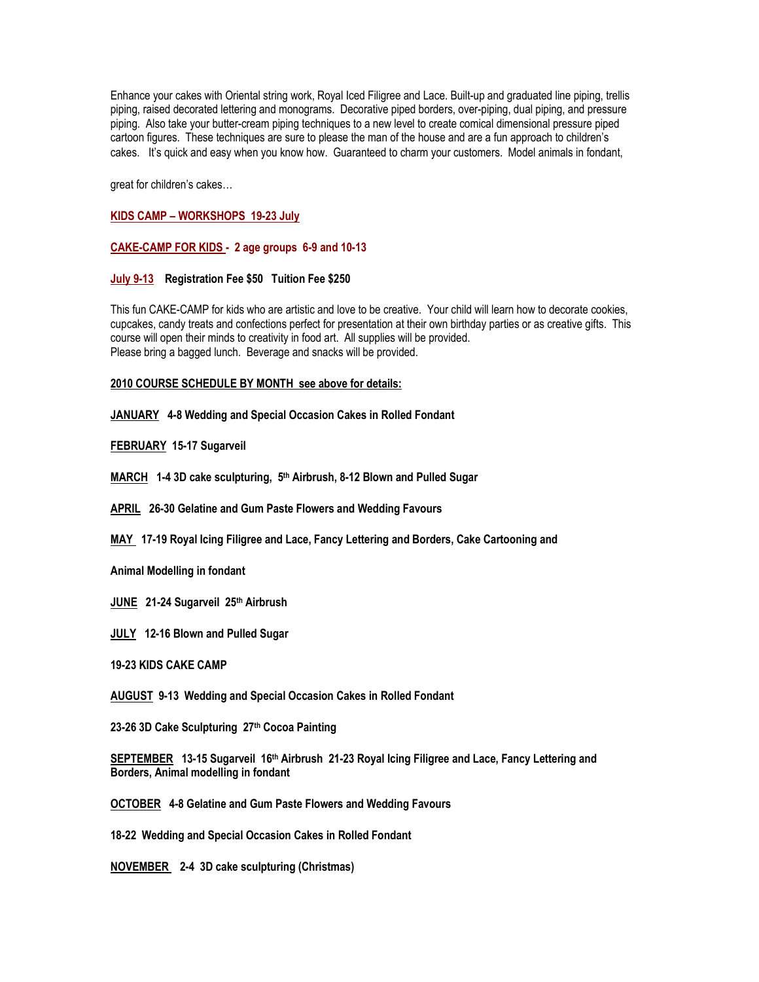Enhance your cakes with Oriental string work, Royal Iced Filigree and Lace. Built-up and graduated line piping, trellis piping, raised decorated lettering and monograms. Decorative piped borders, over-piping, dual piping, and pressure piping. Also take your butter-cream piping techniques to a new level to create comical dimensional pressure piped cartoon figures. These techniques are sure to please the man of the house and are a fun approach to children's cakes. It's quick and easy when you know how. Guaranteed to charm your customers. Model animals in fondant,

great for children's cakes…

# **KIDS CAMP – WORKSHOPS 19-23 July**

## **CAKE-CAMP FOR KIDS - 2 age groups 6-9 and 10-13**

# **July 9-13 Registration Fee \$50 Tuition Fee \$250**

This fun CAKE-CAMP for kids who are artistic and love to be creative. Your child will learn how to decorate cookies, cupcakes, candy treats and confections perfect for presentation at their own birthday parties or as creative gifts. This course will open their minds to creativity in food art. All supplies will be provided. Please bring a bagged lunch. Beverage and snacks will be provided.

# **2010 COURSE SCHEDULE BY MONTH see above for details:**

**JANUARY 4-8 Wedding and Special Occasion Cakes in Rolled Fondant**

# **FEBRUARY 15-17 Sugarveil**

**MARCH 1-4 3D cake sculpturing, 5th Airbrush, 8-12 Blown and Pulled Sugar**

**APRIL 26-30 Gelatine and Gum Paste Flowers and Wedding Favours**

**MAY 17-19 Royal Icing Filigree and Lace, Fancy Lettering and Borders, Cake Cartooning and**

**Animal Modelling in fondant**

**JUNE 21-24 Sugarveil 25th Airbrush**

**JULY 12-16 Blown and Pulled Sugar**

**19-23 KIDS CAKE CAMP**

**AUGUST 9-13 Wedding and Special Occasion Cakes in Rolled Fondant**

**23-26 3D Cake Sculpturing 27th Cocoa Painting**

**SEPTEMBER 13-15 Sugarveil 16th Airbrush 21-23 Royal Icing Filigree and Lace, Fancy Lettering and Borders, Animal modelling in fondant**

**OCTOBER 4-8 Gelatine and Gum Paste Flowers and Wedding Favours**

**18-22 Wedding and Special Occasion Cakes in Rolled Fondant**

**NOVEMBER 2-4 3D cake sculpturing (Christmas)**